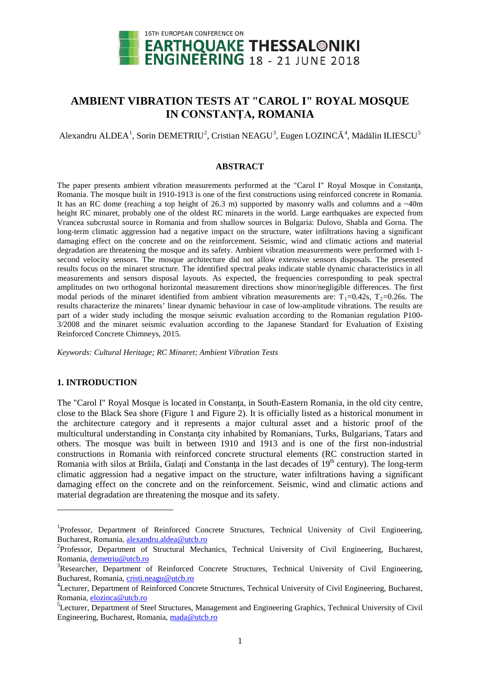

# **AMBIENT VIBRATION TESTS AT "CAROL I" ROYAL MOSQUE IN CONSTANŢA, ROMANIA**

Alexandru ALDEA<sup>[1](#page-0-0)</sup>, Sorin DEMETRIU<sup>[2](#page-0-1)</sup>, Cristian NEAGU<sup>[3](#page-0-2)</sup>, Eugen LOZINCĂ<sup>[4](#page-0-3)</sup>, Mădălin ILIESCU<sup>[5](#page-0-4)</sup>

## **ABSTRACT**

The paper presents ambient vibration measurements performed at the "Carol I" Royal Mosque in Constanta, Romania. The mosque built in 1910-1913 is one of the first constructions using reinforced concrete in Romania. It has an RC dome (reaching a top height of 26.3 m) supported by masonry walls and columns and a  $\sim$ 40m height RC minaret, probably one of the oldest RC minarets in the world. Large earthquakes are expected from Vrancea subcrustal source in Romania and from shallow sources in Bulgaria: Dulovo, Shabla and Gorna. The long-term climatic aggression had a negative impact on the structure, water infiltrations having a significant damaging effect on the concrete and on the reinforcement. Seismic, wind and climatic actions and material degradation are threatening the mosque and its safety. Ambient vibration measurements were performed with 1 second velocity sensors. The mosque architecture did not allow extensive sensors disposals. The presented results focus on the minaret structure. The identified spectral peaks indicate stable dynamic characteristics in all measurements and sensors disposal layouts. As expected, the frequencies corresponding to peak spectral amplitudes on two orthogonal horizontal measurement directions show minor/negligible differences. The first modal periods of the minaret identified from ambient vibration measurements are:  $T_1=0.42s$ ,  $T_2=0.26s$ . The results characterize the minarets' linear dynamic behaviour in case of low-amplitude vibrations. The results are part of a wider study including the mosque seismic evaluation according to the Romanian regulation P100- 3/2008 and the minaret seismic evaluation according to the Japanese Standard for Evaluation of Existing Reinforced Concrete Chimneys, 2015.

*Keywords: Cultural Heritage; RC Minaret; Ambient Vibration Tests*

## **1. INTRODUCTION**

<u>.</u>

The "Carol I" Royal Mosque is located in Constanta, in South-Eastern Romania, in the old city centre, close to the Black Sea shore (Figure 1 and Figure 2). It is officially listed as a historical monument in the architecture category and it represents a major cultural asset and a historic proof of the multicultural understanding in Constanta city inhabited by Romanians, Turks, Bulgarians, Tatars and others. The mosque was built in between 1910 and 1913 and is one of the first non-industrial constructions in Romania with reinforced concrete structural elements (RC construction started in Romania with silos at Brăila, Galați and Constanța in the last decades of 19<sup>th</sup> century). The long-term climatic aggression had a negative impact on the structure, water infiltrations having a significant damaging effect on the concrete and on the reinforcement. Seismic, wind and climatic actions and material degradation are threatening the mosque and its safety.

<span id="page-0-0"></span><sup>&</sup>lt;sup>1</sup>Professor, Department of Reinforced Concrete Structures, Technical University of Civil Engineering, Bucharest, Romania, [alexandru.aldea@utcb.ro](mailto:alexandru.aldea@utcb.ro)

<span id="page-0-1"></span><sup>&</sup>lt;sup>2</sup>Professor, Department of Structural Mechanics, Technical University of Civil Engineering, Bucharest, Romania, [demetriu@utcb.ro](mailto:demetriu@utcb.ro)

<span id="page-0-2"></span><sup>&</sup>lt;sup>3</sup>Researcher, Department of Reinforced Concrete Structures, Technical University of Civil Engineering, Bucharest, Romania, [cristi.neagu@utcb.ro](mailto:cristi.neagu@utcb.ro)

<span id="page-0-3"></span><sup>&</sup>lt;sup>4</sup>Lecturer, Department of Reinforced Concrete Structures, Technical University of Civil Engineering, Bucharest, Romania, [elozinca@utcb.ro](mailto:elozinca@utcb.ro)

<span id="page-0-4"></span><sup>&</sup>lt;sup>5</sup>Lecturer, Department of Steel Structures, Management and Engineering Graphics, Technical University of Civil Engineering, Bucharest, Romania, [mada@utcb.ro](mailto:mada@utcb.ro)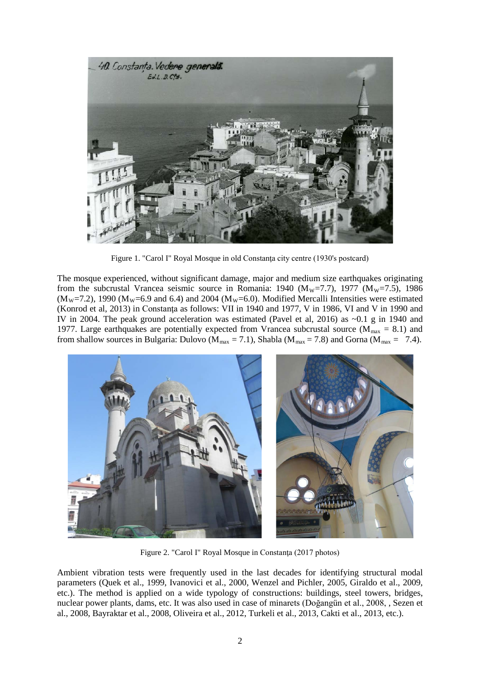

Figure 1. "Carol I" Royal Mosque in old Constanţa city centre (1930's postcard)

The mosque experienced, without significant damage, major and medium size earthquakes originating from the subcrustal Vrancea seismic source in Romania: 1940 ( $M_w$ =7.7), 1977 ( $M_w$ =7.5), 1986  $(M_W=7.2)$ , 1990  $(M_W=6.9$  and 6.4) and 2004  $(M_W=6.0)$ . Modified Mercalli Intensities were estimated (Konrod et al, 2013) in Constanţa as follows: VII in 1940 and 1977, V in 1986, VI and V in 1990 and IV in 2004. The peak ground acceleration was estimated (Pavel et al, 2016) as ~0.1 g in 1940 and 1977. Large earthquakes are potentially expected from Vrancea subcrustal source ( $M_{\text{max}} = 8.1$ ) and from shallow sources in Bulgaria: Dulovo ( $M_{\text{max}} = 7.1$ ), Shabla ( $M_{\text{max}} = 7.8$ ) and Gorna ( $M_{\text{max}} = 7.4$ ).



Figure 2. "Carol I" Royal Mosque in Constanta (2017 photos)

Ambient vibration tests were frequently used in the last decades for identifying structural modal parameters (Quek et al., 1999, Ivanovici et al., 2000, Wenzel and Pichler, 2005, Giraldo et al., 2009, etc.). The method is applied on a wide typology of constructions: buildings, steel towers, bridges, nuclear power plants, dams, etc. It was also used in case of minarets (Doğangün et al., 2008, , Sezen et al., 2008, Bayraktar et al., 2008, Oliveira et al., 2012, Turkeli et al., 2013, Cakti et al., 2013, etc.).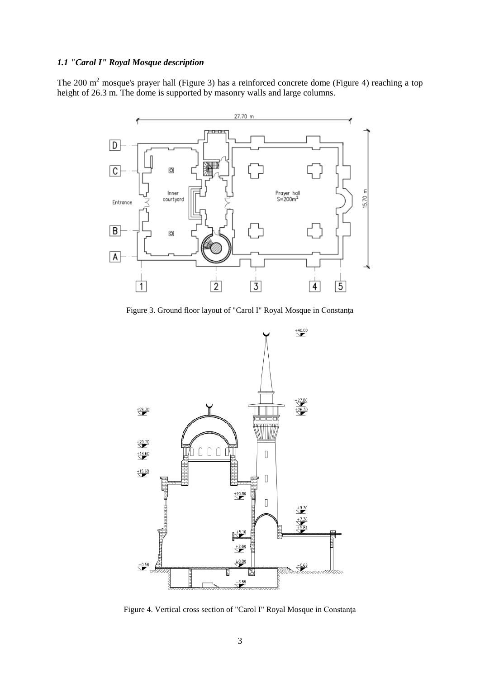# *1.1 "Carol I" Royal Mosque description*

The 200  $m<sup>2</sup>$  mosque's prayer hall (Figure 3) has a reinforced concrete dome (Figure 4) reaching a top height of 26.3 m. The dome is supported by masonry walls and large columns.



Figure 3. Ground floor layout of "Carol I" Royal Mosque in Constanţa



Figure 4. Vertical cross section of "Carol I" Royal Mosque in Constanţa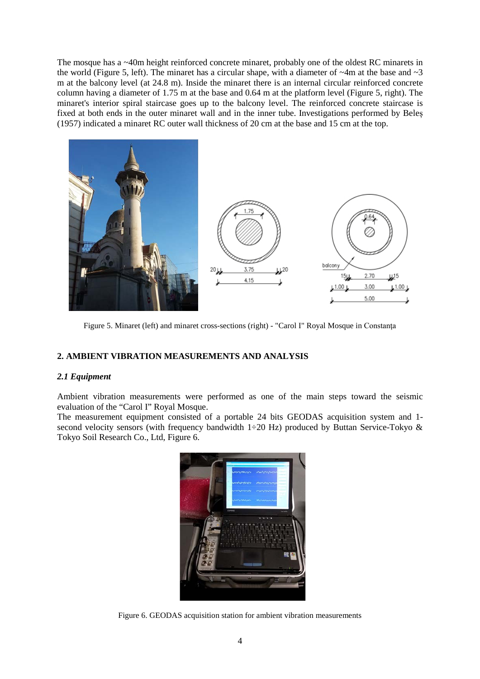The mosque has a ~40m height reinforced concrete minaret, probably one of the oldest RC minarets in the world (Figure 5, left). The minaret has a circular shape, with a diameter of  $\sim$ 4m at the base and  $\sim$ 3 m at the balcony level (at 24.8 m). Inside the minaret there is an internal circular reinforced concrete column having a diameter of 1.75 m at the base and 0.64 m at the platform level (Figure 5, right). The minaret's interior spiral staircase goes up to the balcony level. The reinforced concrete staircase is fixed at both ends in the outer minaret wall and in the inner tube. Investigations performed by Beles (1957) indicated a minaret RC outer wall thickness of 20 cm at the base and 15 cm at the top.



Figure 5. Minaret (left) and minaret cross-sections (right) - "Carol I" Royal Mosque in Constanţa

# **2. AMBIENT VIBRATION MEASUREMENTS AND ANALYSIS**

## *2.1 Equipment*

Ambient vibration measurements were performed as one of the main steps toward the seismic evaluation of the "Carol I" Royal Mosque.

The measurement equipment consisted of a portable 24 bits GEODAS acquisition system and 1 second velocity sensors (with frequency bandwidth 1÷20 Hz) produced by Buttan Service-Tokyo  $\&$ Tokyo Soil Research Co., Ltd, Figure 6.



Figure 6. GEODAS acquisition station for ambient vibration measurements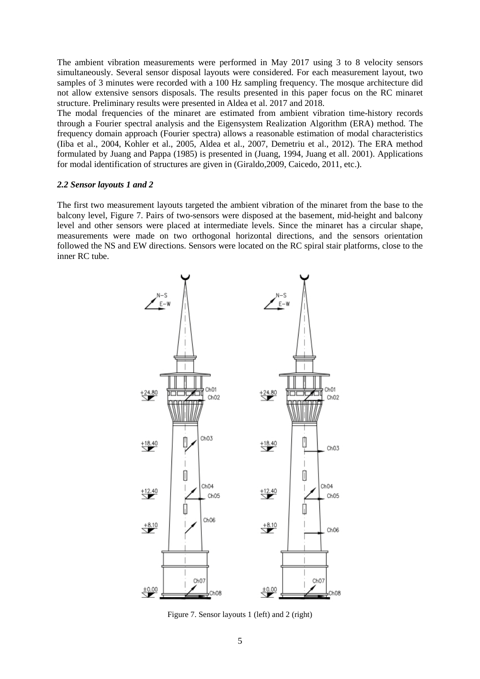The ambient vibration measurements were performed in May 2017 using 3 to 8 velocity sensors simultaneously. Several sensor disposal layouts were considered. For each measurement layout, two samples of 3 minutes were recorded with a 100 Hz sampling frequency. The mosque architecture did not allow extensive sensors disposals. The results presented in this paper focus on the RC minaret structure. Preliminary results were presented in Aldea et al. 2017 and 2018.

The modal frequencies of the minaret are estimated from ambient vibration time-history records through a Fourier spectral analysis and the Eigensystem Realization Algorithm (ERA) method. The frequency domain approach (Fourier spectra) allows a reasonable estimation of modal characteristics (Iiba et al., 2004, Kohler et al., 2005, Aldea et al., 2007, Demetriu et al., 2012). The ERA method formulated by Juang and Pappa (1985) is presented in (Juang, 1994, Juang et all. 2001). Applications for modal identification of structures are given in (Giraldo,2009, Caicedo, 2011, etc.).

#### *2.2 Sensor layouts 1 and 2*

The first two measurement layouts targeted the ambient vibration of the minaret from the base to the balcony level, Figure 7. Pairs of two-sensors were disposed at the basement, mid-height and balcony level and other sensors were placed at intermediate levels. Since the minaret has a circular shape, measurements were made on two orthogonal horizontal directions, and the sensors orientation followed the NS and EW directions. Sensors were located on the RC spiral stair platforms, close to the inner RC tube.



Figure 7. Sensor layouts 1 (left) and 2 (right)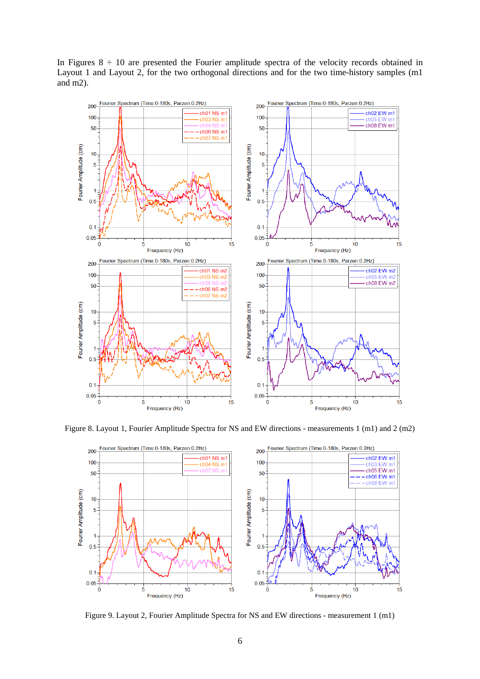In Figures  $8 \div 10$  are presented the Fourier amplitude spectra of the velocity records obtained in Layout 1 and Layout 2, for the two orthogonal directions and for the two time-history samples (m1 and m2).



Figure 8. Layout 1, Fourier Amplitude Spectra for NS and EW directions - measurements 1 (m1) and 2 (m2)



Figure 9. Layout 2, Fourier Amplitude Spectra for NS and EW directions - measurement 1 (m1)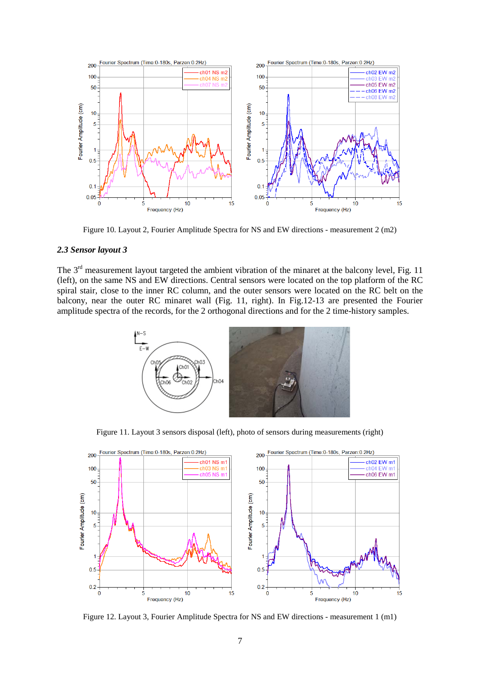

Figure 10. Layout 2, Fourier Amplitude Spectra for NS and EW directions - measurement 2 (m2)

## *2.3 Sensor layout 3*

The 3<sup>rd</sup> measurement layout targeted the ambient vibration of the minaret at the balcony level, Fig. 11 (left), on the same NS and EW directions. Central sensors were located on the top platform of the RC spiral stair, close to the inner RC column, and the outer sensors were located on the RC belt on the balcony, near the outer RC minaret wall (Fig. 11, right). In Fig.12-13 are presented the Fourier amplitude spectra of the records, for the 2 orthogonal directions and for the 2 time-history samples.



Figure 11. Layout 3 sensors disposal (left), photo of sensors during measurements (right)



Figure 12. Layout 3, Fourier Amplitude Spectra for NS and EW directions - measurement 1 (m1)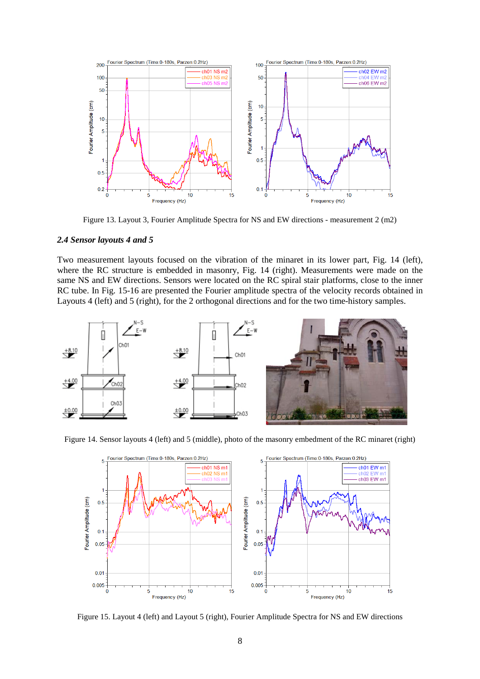

Figure 13. Layout 3, Fourier Amplitude Spectra for NS and EW directions - measurement 2 (m2)

#### *2.4 Sensor layouts 4 and 5*

Two measurement layouts focused on the vibration of the minaret in its lower part, Fig. 14 (left), where the RC structure is embedded in masonry, Fig. 14 (right). Measurements were made on the same NS and EW directions. Sensors were located on the RC spiral stair platforms, close to the inner RC tube. In Fig. 15-16 are presented the Fourier amplitude spectra of the velocity records obtained in Layouts 4 (left) and 5 (right), for the 2 orthogonal directions and for the two time-history samples.



Figure 14. Sensor layouts 4 (left) and 5 (middle), photo of the masonry embedment of the RC minaret (right)



Figure 15. Layout 4 (left) and Layout 5 (right), Fourier Amplitude Spectra for NS and EW directions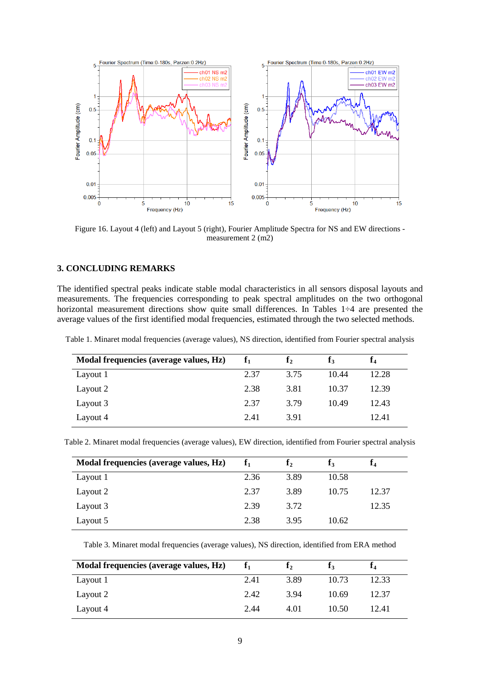

Figure 16. Layout 4 (left) and Layout 5 (right), Fourier Amplitude Spectra for NS and EW directions measurement 2 (m2)

## **3. CONCLUDING REMARKS**

The identified spectral peaks indicate stable modal characteristics in all sensors disposal layouts and measurements. The frequencies corresponding to peak spectral amplitudes on the two orthogonal horizontal measurement directions show quite small differences. In Tables 1÷4 are presented the average values of the first identified modal frequencies, estimated through the two selected methods.

Table 1. Minaret modal frequencies (average values), NS direction, identified from Fourier spectral analysis

| Modal frequencies (average values, Hz) |      | ${\bf f}_2$ |       | Ť4    |
|----------------------------------------|------|-------------|-------|-------|
| Layout 1                               | 2.37 | 3.75        | 10.44 | 12.28 |
| Layout 2                               | 2.38 | 3.81        | 10.37 | 12.39 |
| Layout 3                               | 2.37 | 3.79        | 10.49 | 12.43 |
| Layout 4                               | 2.41 | 3.91        |       | 12.41 |

| Table 2. Minaret modal frequencies (average values), EW direction, identified from Fourier spectral analysis |  |  |  |
|--------------------------------------------------------------------------------------------------------------|--|--|--|
|--------------------------------------------------------------------------------------------------------------|--|--|--|

| Modal frequencies (average values, Hz) | $f_1$ | $\mathbf{I}_2$ | I٩    |       |
|----------------------------------------|-------|----------------|-------|-------|
| Layout 1                               | 2.36  | 3.89           | 10.58 |       |
| Layout 2                               | 2.37  | 3.89           | 10.75 | 12.37 |
| Layout 3                               | 2.39  | 3.72           |       | 12.35 |
| Layout 5                               | 2.38  | 3.95           | 10.62 |       |

Table 3. Minaret modal frequencies (average values), NS direction, identified from ERA method

| Modal frequencies (average values, Hz) |      |      |       |       |
|----------------------------------------|------|------|-------|-------|
| Layout 1                               | 2.41 | 3.89 | 10.73 | 12.33 |
| Layout 2                               | 2.42 | 3.94 | 10.69 | 12.37 |
| Layout 4                               | 2.44 | 4.01 | 10.50 | 12.41 |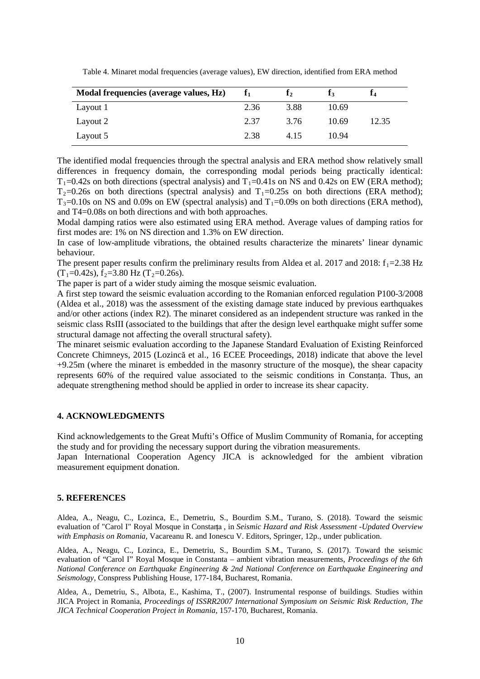| Modal frequencies (average values, Hz) |      | I٠   |       |       |
|----------------------------------------|------|------|-------|-------|
| Layout 1                               | 2.36 | 3.88 | 10.69 |       |
| Layout 2                               | 2.37 | 3.76 | 10.69 | 12.35 |
| Layout 5                               | 2.38 | 4.15 | 10.94 |       |

Table 4. Minaret modal frequencies (average values), EW direction, identified from ERA method

The identified modal frequencies through the spectral analysis and ERA method show relatively small differences in frequency domain, the corresponding modal periods being practically identical:  $T_1=0.42$ s on both directions (spectral analysis) and  $T_1=0.41$ s on NS and 0.42s on EW (ERA method);  $T_2=0.26s$  on both directions (spectral analysis) and  $T_1=0.25s$  on both directions (ERA method);  $T_3$ =0.10s on NS and 0.09s on EW (spectral analysis) and  $T_1$ =0.09s on both directions (ERA method), and T4=0.08s on both directions and with both approaches.

Modal damping ratios were also estimated using ERA method. Average values of damping ratios for first modes are: 1% on NS direction and 1.3% on EW direction.

In case of low-amplitude vibrations, the obtained results characterize the minarets' linear dynamic behaviour.

The present paper results confirm the preliminary results from Aldea et al. 2017 and 2018:  $f_1$ =2.38 Hz  $(T_1=0.42s)$ ,  $f_2=3.80$  Hz  $(T_2=0.26s)$ .

The paper is part of a wider study aiming the mosque seismic evaluation.

A first step toward the seismic evaluation according to the Romanian enforced regulation P100-3/2008 (Aldea et al., 2018) was the assessment of the existing damage state induced by previous earthquakes and/or other actions (index R2). The minaret considered as an independent structure was ranked in the seismic class RsIII (associated to the buildings that after the design level earthquake might suffer some structural damage not affecting the overall structural safety).

The minaret seismic evaluation according to the Japanese Standard Evaluation of Existing Reinforced Concrete Chimneys, 2015 (Lozincă et al., 16 ECEE Proceedings, 2018) indicate that above the level +9.25m (where the minaret is embedded in the masonry structure of the mosque), the shear capacity represents 60% of the required value associated to the seismic conditions in Constanța. Thus, an adequate strengthening method should be applied in order to increase its shear capacity.

## **4. ACKNOWLEDGMENTS**

Kind acknowledgements to the Great Mufti's Office of Muslim Community of Romania, for accepting the study and for providing the necessary support during the vibration measurements.

Japan International Cooperation Agency JICA is acknowledged for the ambient vibration measurement equipment donation.

## **5. REFERENCES**

Aldea, A., Neagu, C., Lozinca, E., Demetriu, S., Bourdim S.M., Turano, S. (2018). Toward the seismic evaluation of "Carol I" Royal Mosque in Constanța , in *Seismic Hazard and Risk Assessment -Updated Overview with Emphasis on Romania*, Vacareanu R. and Ionescu V. Editors, Springer, 12p., under publication.

Aldea, A., Neagu, C., Lozinca, E., Demetriu, S., Bourdim S.M., Turano, S. (2017). Toward the seismic evaluation of "Carol I" Royal Mosque in Constanta – ambient vibration measurements, *Proceedings of the 6th National Conference on Earthquake Engineering & 2nd National Conference on Earthquake Engineering and Seismology*, Conspress Publishing House, 177-184, Bucharest, Romania.

Aldea, A., Demetriu, S., Albota, E., Kashima, T., (2007). Instrumental response of buildings. Studies within JICA Project in Romania, *Proceedings of ISSRR2007 International Symposium on Seismic Risk Reduction, The JICA Technical Cooperation Project in Romania*, 157-170, Bucharest, Romania.